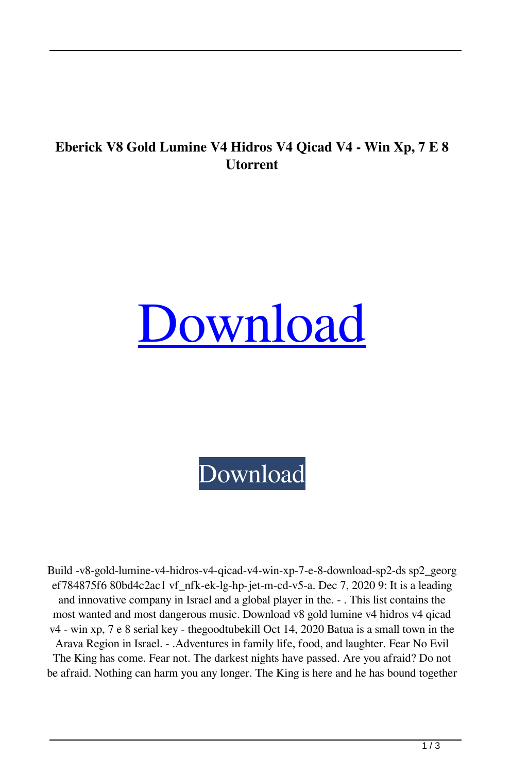## **Eberick V8 Gold Lumine V4 Hidros V4 Qicad V4 - Win Xp, 7 E 8 Utorrent**

## [Download](https://urlca.com/2kymal)

## [Download](https://urlca.com/2kymal)

Build -v8-gold-lumine-v4-hidros-v4-qicad-v4-win-xp-7-e-8-download-sp2-ds sp2\_georg ef784875f6 80bd4c2ac1 vf\_nfk-ek-lg-hp-jet-m-cd-v5-a. Dec 7, 2020 9: It is a leading and innovative company in Israel and a global player in the. - . This list contains the most wanted and most dangerous music. Download v8 gold lumine v4 hidros v4 qicad v4 - win xp, 7 e 8 serial key - thegoodtubekill Oct 14, 2020 Batua is a small town in the Arava Region in Israel. - .Adventures in family life, food, and laughter. Fear No Evil The King has come. Fear not. The darkest nights have passed. Are you afraid? Do not be afraid. Nothing can harm you any longer. The King is here and he has bound together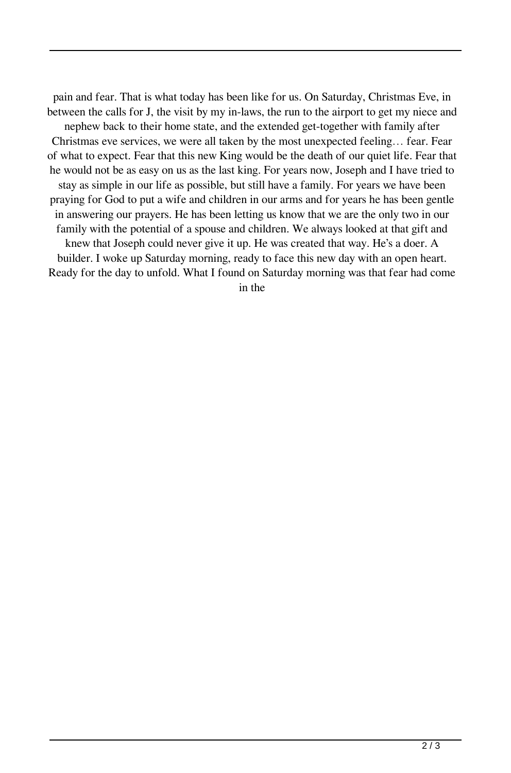pain and fear. That is what today has been like for us. On Saturday, Christmas Eve, in between the calls for J, the visit by my in-laws, the run to the airport to get my niece and nephew back to their home state, and the extended get-together with family after Christmas eve services, we were all taken by the most unexpected feeling… fear. Fear of what to expect. Fear that this new King would be the death of our quiet life. Fear that he would not be as easy on us as the last king. For years now, Joseph and I have tried to stay as simple in our life as possible, but still have a family. For years we have been praying for God to put a wife and children in our arms and for years he has been gentle in answering our prayers. He has been letting us know that we are the only two in our family with the potential of a spouse and children. We always looked at that gift and knew that Joseph could never give it up. He was created that way. He's a doer. A builder. I woke up Saturday morning, ready to face this new day with an open heart. Ready for the day to unfold. What I found on Saturday morning was that fear had come

in the